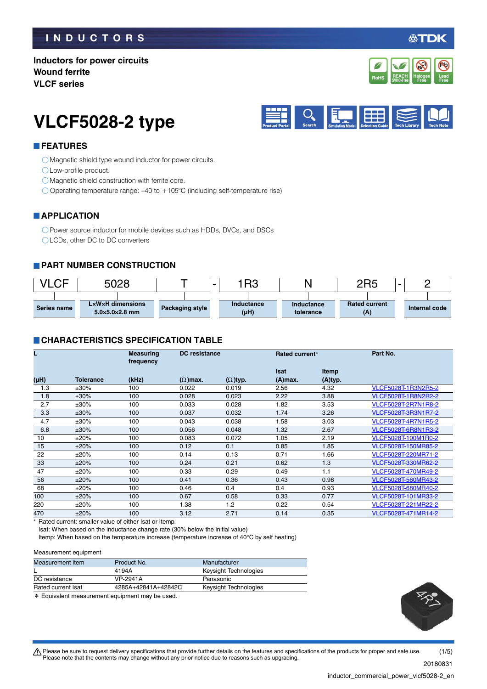### **INDUCTORS**

必TDK

### **Inductors for power circuits Wound ferrite VLCF series**



# **VLCF5028-2 type**



#### **FEATURES**

Magnetic shield type wound inductor for power circuits.

Low-profile product.

Magnetic shield construction with ferrite core.

 $\bigcirc$  Operating temperature range: -40 to +105°C (including self-temperature rise)

#### **APPLICATION**

O Power source inductor for mobile devices such as HDDs, DVCs, and DSCs LCDs, other DC to DC converters

#### **PART NUMBER CONSTRUCTION**

| <b>/LCF</b> | 5028                                           |                 | IR3<br>$\overline{\phantom{0}}$ |                         | 2R5                         | - |               |
|-------------|------------------------------------------------|-----------------|---------------------------------|-------------------------|-----------------------------|---|---------------|
| Series name | LxWxH dimensions<br>$5.0\times5.0\times2.8$ mm | Packaging style | Inductance<br>(µH)              | Inductance<br>tolerance | <b>Rated current</b><br>(A) |   | Internal code |

#### **CHARACTERISTICS SPECIFICATION TABLE**

|      |                  | <b>Measuring</b><br>frequency | DC resistance   |                 | Part No.<br>Rated current* |              |                            |
|------|------------------|-------------------------------|-----------------|-----------------|----------------------------|--------------|----------------------------|
|      |                  |                               |                 |                 | <b>Isat</b>                | <b>Itemp</b> |                            |
| (µH) | <b>Tolerance</b> | (kHz)                         | $(\Omega)$ max. | $(\Omega)$ typ. | (A)max.                    | (A)typ.      |                            |
| 1.3  | $±30\%$          | 100                           | 0.022           | 0.019           | 2.56                       | 4.32         | VLCF5028T-1R3N2R5-2        |
| 1.8  | $±30\%$          | 100                           | 0.028           | 0.023           | 2.22                       | 3.88         | VLCF5028T-1R8N2R2-2        |
| 2.7  | $±30\%$          | 100                           | 0.033           | 0.028           | 1.82                       | 3.53         | <b>VLCF5028T-2R7N1R8-2</b> |
| 3.3  | $±30\%$          | 100                           | 0.037           | 0.032           | 1.74                       | 3.26         | VLCF5028T-3R3N1R7-2        |
| 4.7  | $±30\%$          | 100                           | 0.043           | 0.038           | 1.58                       | 3.03         | <b>VLCF5028T-4R7N1R5-2</b> |
| 6.8  | $±30\%$          | 100                           | 0.056           | 0.048           | 1.32                       | 2.67         | <b>VLCF5028T-6R8N1R3-2</b> |
| 10   | ±20%             | 100                           | 0.083           | 0.072           | 1.05                       | 2.19         | VLCF5028T-100M1R0-2        |
| 15   | ±20%             | 100                           | 0.12            | 0.1             | 0.85                       | 1.85         | VLCF5028T-150MR85-2        |
| 22   | ±20%             | 100                           | 0.14            | 0.13            | 0.71                       | 1.66         | VLCF5028T-220MR71-2        |
| 33   | ±20%             | 100                           | 0.24            | 0.21            | 0.62                       | 1.3          | VLCF5028T-330MR62-2        |
| 47   | ±20%             | 100                           | 0.33            | 0.29            | 0.49                       | 1.1          | VLCF5028T-470MR49-2        |
| 56   | ±20%             | 100                           | 0.41            | 0.36            | 0.43                       | 0.98         | VLCF5028T-560MR43-2        |
| 68   | ±20%             | 100                           | 0.46            | 0.4             | 0.4                        | 0.93         | VLCF5028T-680MR40-2        |
| 100  | ±20%             | 100                           | 0.67            | 0.58            | 0.33                       | 0.77         | VLCF5028T-101MR33-2        |
| 220  | ±20%             | 100                           | 1.38            | 1.2             | 0.22                       | 0.54         | VLCF5028T-221MR22-2        |
| 470  | ±20%             | 100                           | 3.12            | 2.71            | 0.14                       | 0.35         | VLCF5028T-471MR14-2        |

\* Rated current: smaller value of either Isat or Itemp.

Isat: When based on the inductance change rate (30% below the initial value)

Itemp: When based on the temperature increase (temperature increase of 40°C by self heating)

#### Measurement equipment

| Measurement item   | Product No.         | Manufacturer          |  |
|--------------------|---------------------|-----------------------|--|
|                    | 4194A               | Keysight Technologies |  |
| DC resistance      | <b>VP-2941A</b>     | Panasonic             |  |
| Rated current Isat | 4285A+42841A+42842C | Keysight Technologies |  |
| .                  |                     |                       |  |

\* Equivalent measurement equipment may be used.



 $\bigwedge$  Please be sure to request delivery specifications that provide further details on the features and specifications of the products for proper and safe use. Please note that the contents may change without any prior notice due to reasons such as upgrading. (1/5)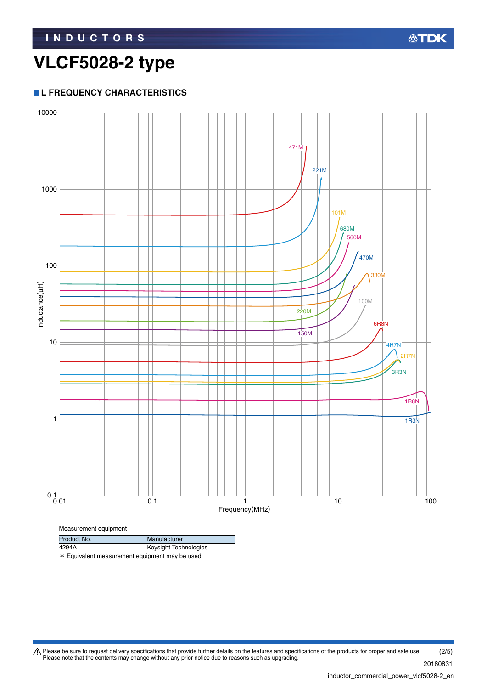## **VLCF5028-2 type**

### **L FREQUENCY CHARACTERISTICS**



\* Equivalent measurement equipment may be used.

Please be sure to request delivery specifications that provide further details on the features and specifications of the products for proper and safe use.<br>Please note that the contents may change without any prior notice d (2/5)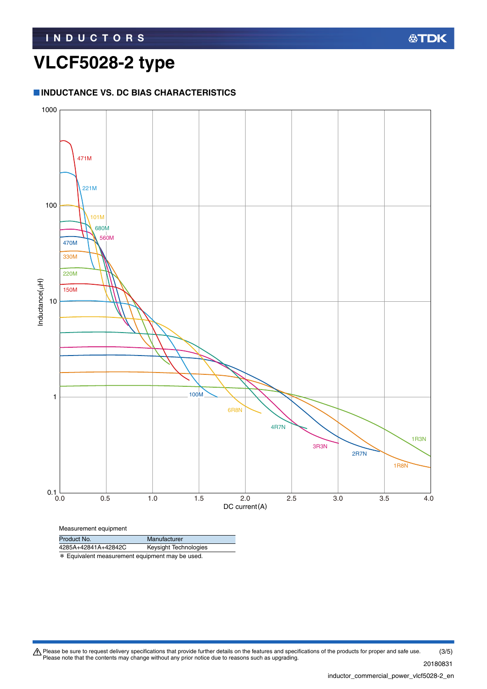## **VLCF5028-2 type**

#### **INDUCTANCE VS. DC BIAS CHARACTERISTICS**



Product No. Manufacturer

4285A+42841A+42842C Keysight Technologies

\* Equivalent measurement equipment may be used.

Please be sure to request delivery specifications that provide further details on the features and specifications of the products for proper and safe use.<br>Please note that the contents may change without any prior notice d (3/5)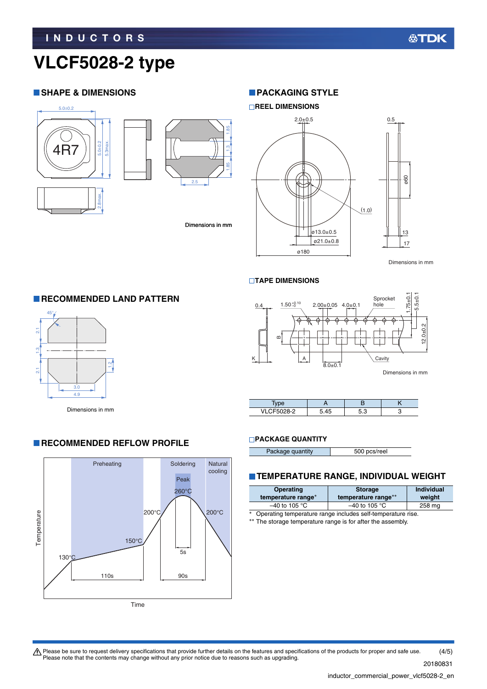# **VLCF5028-2 type**

#### **SHAPE & DIMENSIONS**





Dimensions in mm

#### **PACKAGING STYLE**

#### **REEL DIMENSIONS**



#### **TAPE DIMENSIONS**



| VI CE5028-2 |  |  |
|-------------|--|--|

#### **PACKAGE QUANTITY**

| Package quantity | 500 pcs/reel |
|------------------|--------------|

#### **TEMPERATURE RANGE, INDIVIDUAL WEIGHT**

| <b>Operating</b><br>temperature range*                             | <b>Storage</b><br>temperature range** | <b>Individual</b><br>weight |  |  |
|--------------------------------------------------------------------|---------------------------------------|-----------------------------|--|--|
| $-40$ to 105 °C<br>$-40$ to 105 °C<br>258 mg                       |                                       |                             |  |  |
| $*$<br>Operating temperature range includes self-temperature rise. |                                       |                             |  |  |

\*\* The storage temperature range is for after the assembly.



**RECOMMENDED REFLOW PROFILE** 

 $\tilde{c}$ 

3.0 4.9

Dimensions in mm

2.1

45°

2.1 1.3

 $\frac{1}{2}$ 

 $\tilde{a}$ 

**RECOMMENDED LAND PATTERN** 

Please be sure to request delivery specifications that provide further details on the features and specifications of the products for proper and safe use.<br>Please note that the contents may change without any prior notice d (4/5)